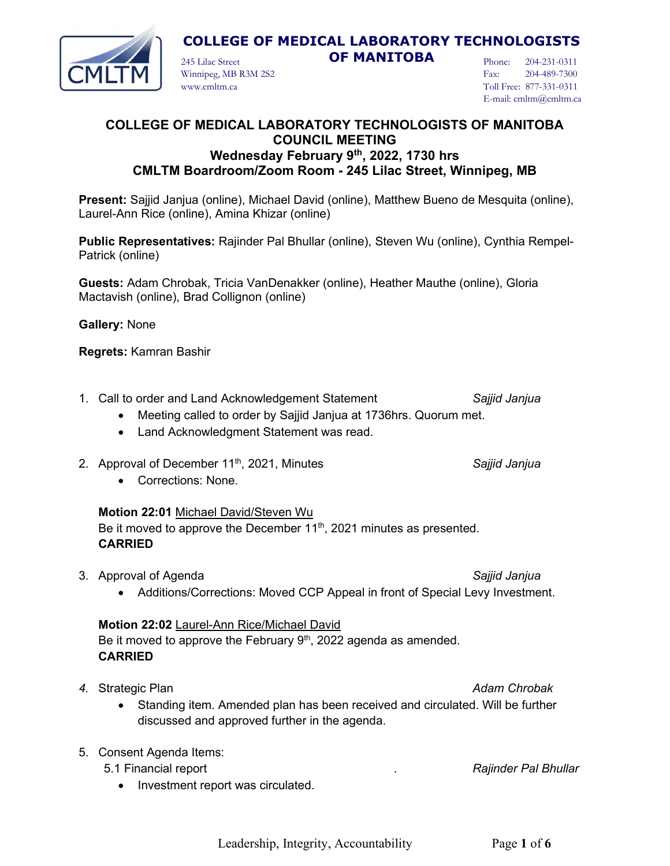

245 Lilac Street **OF MANITOBA**

Phone: 204-231-0311 Fax: 204-489-7300 Toll Free: 877-331-0311 E-mail: cmltm@cmltm.ca

### **COLLEGE OF MEDICAL LABORATORY TECHNOLOGISTS OF MANITOBA COUNCIL MEETING Wednesday February 9th, 2022, 1730 hrs CMLTM Boardroom/Zoom Room - 245 Lilac Street, Winnipeg, MB**

**Present:** Sajjid Janjua (online), Michael David (online), Matthew Bueno de Mesquita (online), Laurel-Ann Rice (online), Amina Khizar (online)

**Public Representatives:** Rajinder Pal Bhullar (online), Steven Wu (online), Cynthia Rempel-Patrick (online)

**Guests:** Adam Chrobak, Tricia VanDenakker (online), Heather Mauthe (online), Gloria Mactavish (online), Brad Collignon (online)

**Gallery:** None

**Regrets:** Kamran Bashir

- 1. Call to order and Land Acknowledgement Statement *Sajjid Janjua*
	- Meeting called to order by Sajjid Janjua at 1736hrs. Quorum met.
	- Land Acknowledgment Statement was read.

Winnipeg, MB R3M 2S2

www.cmltm.ca

2. Approval of December 11th, 2021, Minutes *Sajjid Janjua*

• Corrections: None.

#### **Motion 22:01** Michael David/Steven Wu

Be it moved to approve the December  $11<sup>th</sup>$ , 2021 minutes as presented. **CARRIED**

3. Approval of Agenda *Sajjid Janjua*

• Additions/Corrections: Moved CCP Appeal in front of Special Levy Investment.

# **Motion 22:02** Laurel-Ann Rice/Michael David

Be it moved to approve the February  $9<sup>th</sup>$ , 2022 agenda as amended. **CARRIED**

- **4.** Strategic Plan *Adam Chrobak Adam Chrobak Adam Chrobak* 
	- Standing item. Amended plan has been received and circulated. Will be further discussed and approved further in the agenda.

#### 5. Consent Agenda Items:

- 5.1 Financial report . *Rajinder Pal Bhullar*
	- Investment report was circulated.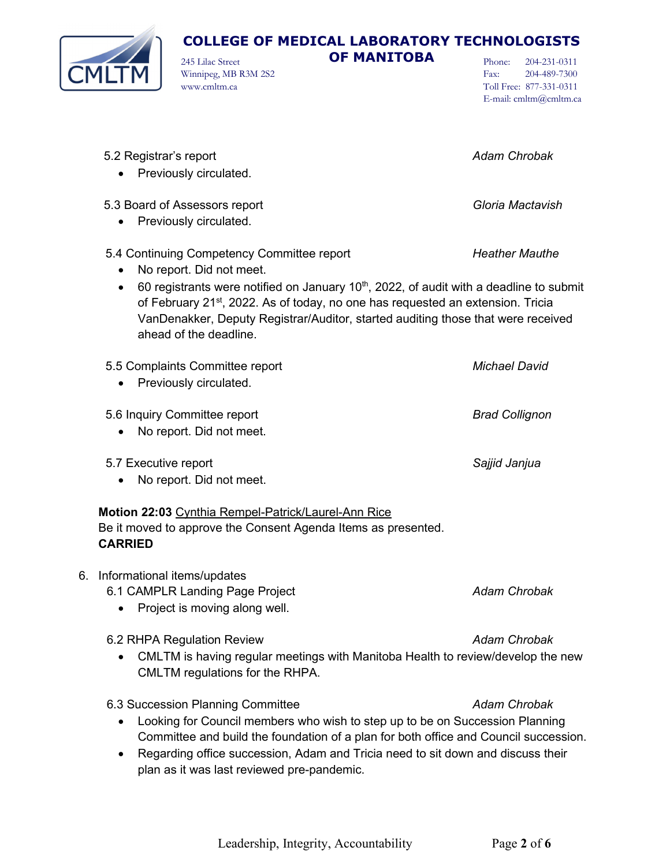

245 Lilac Street **OF MANITOBA**

Winnipeg, MB R3M 2S2 www.cmltm.ca

Phone: 204-231-0311<br>Fax: 204-489-7300 Fax: 204-489-7300 Toll Free: 877-331-0311 E-mail: cmltm@cmltm.ca

|    | 5.2 Registrar's report<br>Previously circulated.                                                                                                                                                                                                                                                                                                                                                                     | <b>Adam Chrobak</b>   |  |
|----|----------------------------------------------------------------------------------------------------------------------------------------------------------------------------------------------------------------------------------------------------------------------------------------------------------------------------------------------------------------------------------------------------------------------|-----------------------|--|
|    | 5.3 Board of Assessors report<br>Previously circulated.<br>$\bullet$                                                                                                                                                                                                                                                                                                                                                 | Gloria Mactavish      |  |
|    | 5.4 Continuing Competency Committee report<br>No report. Did not meet.<br>$\bullet$<br>60 registrants were notified on January 10 <sup>th</sup> , 2022, of audit with a deadline to submit<br>$\bullet$<br>of February 21 <sup>st</sup> , 2022. As of today, no one has requested an extension. Tricia<br>VanDenakker, Deputy Registrar/Auditor, started auditing those that were received<br>ahead of the deadline. | <b>Heather Mauthe</b> |  |
|    | 5.5 Complaints Committee report<br>Previously circulated.                                                                                                                                                                                                                                                                                                                                                            | <b>Michael David</b>  |  |
|    | 5.6 Inquiry Committee report<br>No report. Did not meet.                                                                                                                                                                                                                                                                                                                                                             | <b>Brad Collignon</b> |  |
|    | 5.7 Executive report<br>No report. Did not meet.                                                                                                                                                                                                                                                                                                                                                                     | Sajjid Janjua         |  |
|    | Motion 22:03 Cynthia Rempel-Patrick/Laurel-Ann Rice<br>Be it moved to approve the Consent Agenda Items as presented.<br><b>CARRIED</b>                                                                                                                                                                                                                                                                               |                       |  |
| 6. | Informational items/updates<br>6.1 CAMPLR Landing Page Project<br>Project is moving along well.                                                                                                                                                                                                                                                                                                                      | <b>Adam Chrobak</b>   |  |
|    | 6.2 RHPA Regulation Review<br>CMLTM is having regular meetings with Manitoba Health to review/develop the new<br>CMLTM regulations for the RHPA.                                                                                                                                                                                                                                                                     | <b>Adam Chrobak</b>   |  |
|    | 6.3 Succession Planning Committee<br>Looking for Council members who wish to step up to be on Succession Planning<br>Committee and build the foundation of a plan for both office and Council succession.<br>Regarding office succession, Adam and Tricia need to sit down and discuss their<br>plan as it was last reviewed pre-pandemic.                                                                           | <b>Adam Chrobak</b>   |  |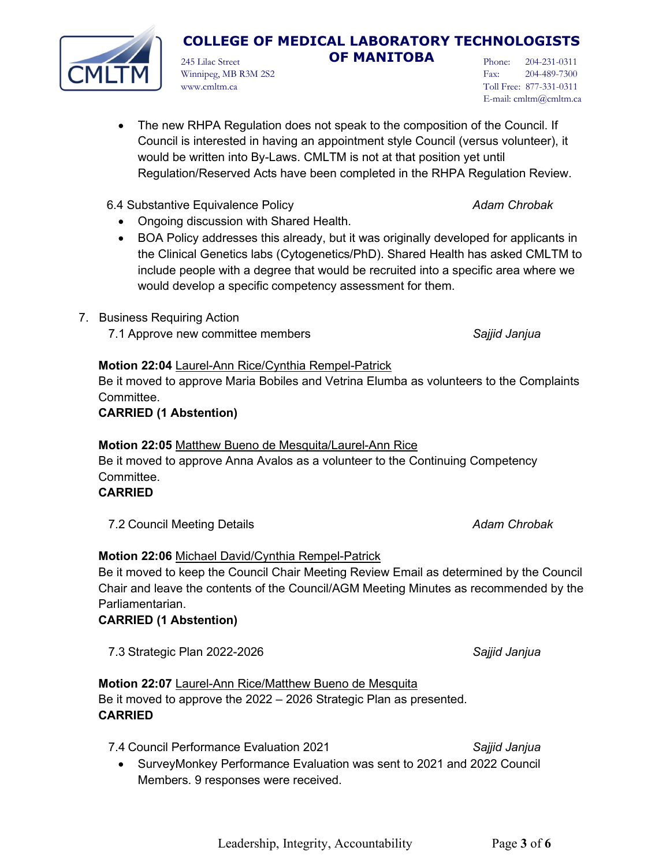#### would be written into By-Laws. CMLTM is not at that position yet until Regulation/Reserved Acts have been completed in the RHPA Regulation Review.

# 6.4 Substantive Equivalence Policy *Adam Chrobak*

• Ongoing discussion with Shared Health.

Winnipeg, MB R3M 2S2

www.cmltm.ca

• BOA Policy addresses this already, but it was originally developed for applicants in the Clinical Genetics labs (Cytogenetics/PhD). Shared Health has asked CMLTM to include people with a degree that would be recruited into a specific area where we would develop a specific competency assessment for them.

• The new RHPA Regulation does not speak to the composition of the Council. If Council is interested in having an appointment style Council (versus volunteer), it

- 7. Business Requiring Action
	- 7.1 Approve new committee members *Sajjid Janjua*

### **Motion 22:04** Laurel-Ann Rice/Cynthia Rempel-Patrick

Be it moved to approve Maria Bobiles and Vetrina Elumba as volunteers to the Complaints Committee.

# **CARRIED (1 Abstention)**

# **Motion 22:05** Matthew Bueno de Mesquita/Laurel-Ann Rice

Be it moved to approve Anna Avalos as a volunteer to the Continuing Competency Committee.

# **CARRIED**

7.2 Council Meeting Details *Adam Chrobak*

# **Motion 22:06** Michael David/Cynthia Rempel-Patrick

Be it moved to keep the Council Chair Meeting Review Email as determined by the Council Chair and leave the contents of the Council/AGM Meeting Minutes as recommended by the Parliamentarian.

# **CARRIED (1 Abstention)**

7.3 Strategic Plan 2022-2026 *Sajjid Janjua*

**Motion 22:07** Laurel-Ann Rice/Matthew Bueno de Mesquita Be it moved to approve the 2022 – 2026 Strategic Plan as presented. **CARRIED**

7.4 Council Performance Evaluation 2021 *Sajjid Janjua*

• SurveyMonkey Performance Evaluation was sent to 2021 and 2022 Council Members. 9 responses were received.

# **COLLEGE OF MEDICAL LABORATORY TECHNOLOGISTS**

245 Lilac Street **OF MANITOBA**

Phone: 204-231-0311 Fax: 204-489-7300 Toll Free: 877-331-0311 E-mail: cmltm@cmltm.ca

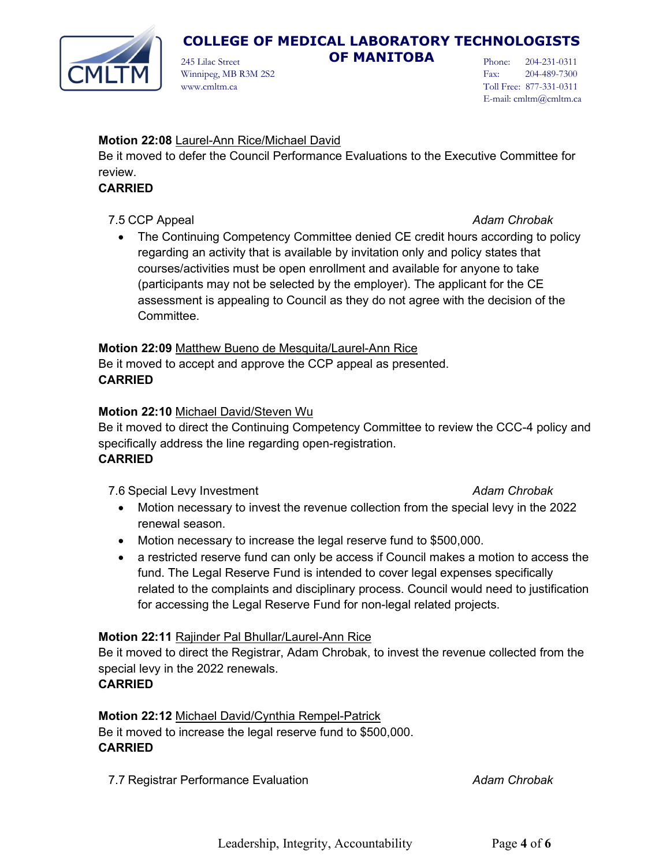

245 Lilac Street **OF MANITOBA**

Phone: 204-231-0311 Fax: 204-489-7300 Toll Free: 877-331-0311 E-mail: cmltm@cmltm.ca

# **Motion 22:08** Laurel-Ann Rice/Michael David

Winnipeg, MB R3M 2S2

www.cmltm.ca

Be it moved to defer the Council Performance Evaluations to the Executive Committee for review.

# **CARRIED**

7.5 CCP Appeal *Adam Chrobak*

• The Continuing Competency Committee denied CE credit hours according to policy regarding an activity that is available by invitation only and policy states that courses/activities must be open enrollment and available for anyone to take (participants may not be selected by the employer). The applicant for the CE assessment is appealing to Council as they do not agree with the decision of the Committee.

### **Motion 22:09** Matthew Bueno de Mesquita/Laurel-Ann Rice

Be it moved to accept and approve the CCP appeal as presented. **CARRIED**

# **Motion 22:10** Michael David/Steven Wu

Be it moved to direct the Continuing Competency Committee to review the CCC-4 policy and specifically address the line regarding open-registration. **CARRIED**

7.6 Special Levy Investment *Adam Chrobak*

- Motion necessary to invest the revenue collection from the special levy in the 2022 renewal season.
- Motion necessary to increase the legal reserve fund to \$500,000.
- a restricted reserve fund can only be access if Council makes a motion to access the fund. The Legal Reserve Fund is intended to cover legal expenses specifically related to the complaints and disciplinary process. Council would need to justification for accessing the Legal Reserve Fund for non-legal related projects.

# **Motion 22:11** Rajinder Pal Bhullar/Laurel-Ann Rice

Be it moved to direct the Registrar, Adam Chrobak, to invest the revenue collected from the special levy in the 2022 renewals.

# **CARRIED**

**Motion 22:12** Michael David/Cynthia Rempel-Patrick Be it moved to increase the legal reserve fund to \$500,000. **CARRIED**

7.7 Registrar Performance Evaluation *Adam Chrobak*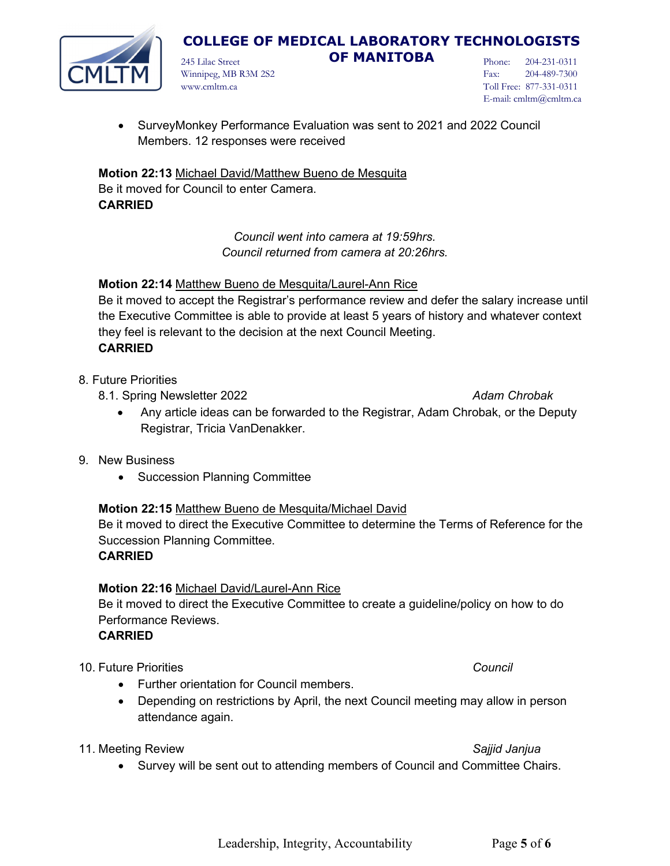

245 Lilac Street **OF MANITOBA** 

Phone: 204-231-0311 Fax: 204-489-7300 Toll Free: 877-331-0311 E-mail: cmltm@cmltm.ca

Winnipeg, MB R3M 2S2 www.cmltm.ca

• SurveyMonkey Performance Evaluation was sent to 2021 and 2022 Council Members. 12 responses were received

**Motion 22:13** Michael David/Matthew Bueno de Mesquita Be it moved for Council to enter Camera. **CARRIED**

> *Council went into camera at 19:59hrs. Council returned from camera at 20:26hrs.*

### **Motion 22:14** Matthew Bueno de Mesquita/Laurel-Ann Rice

Be it moved to accept the Registrar's performance review and defer the salary increase until the Executive Committee is able to provide at least 5 years of history and whatever context they feel is relevant to the decision at the next Council Meeting. **CARRIED**

8. Future Priorities

8.1. Spring Newsletter 2022 **Adam Chrobak Adam Chrobak Adam Chrobak** 

- Any article ideas can be forwarded to the Registrar, Adam Chrobak, or the Deputy Registrar, Tricia VanDenakker.
- 9. New Business
	- Succession Planning Committee

### **Motion 22:15** Matthew Bueno de Mesquita/Michael David

Be it moved to direct the Executive Committee to determine the Terms of Reference for the Succession Planning Committee.

### **CARRIED**

### **Motion 22:16** Michael David/Laurel-Ann Rice

Be it moved to direct the Executive Committee to create a guideline/policy on how to do Performance Reviews.

#### **CARRIED**

10. Future Priorities *Council*

- Further orientation for Council members.
- Depending on restrictions by April, the next Council meeting may allow in person attendance again.

#### 11. Meeting Review *Sajjid Janjua*

- 
- Survey will be sent out to attending members of Council and Committee Chairs.